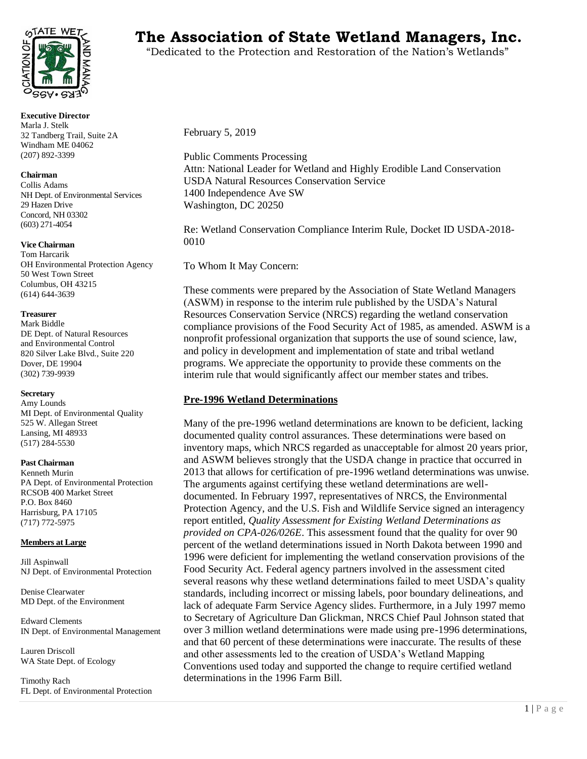

**Executive Director** Marla J. Stelk 32 Tandberg Trail, Suite 2A Windham ME 04062 (207) 892-3399

# **Chairman**

Collis Adams NH Dept. of Environmental Services 29 Hazen Drive Concord, NH 03302 (603) 271-4054

#### **Vice Chairman**

Tom Harcarik OH Environmental Protection Agency 50 West Town Street Columbus, OH 43215 (614) 644-3639

#### **Treasurer**

Mark Biddle DE Dept. of Natural Resources and Environmental Control 820 Silver Lake Blvd., Suite 220 Dover, DE 19904 (302) 739-9939

#### **Secretary**

Amy Lounds MI Dept. of Environmental Quality 525 W. Allegan Street Lansing, MI 48933 (517) 284-5530

#### **Past Chairman**

Kenneth Murin PA Dept. of Environmental Protection RCSOB 400 Market Street P.O. Box 8460 Harrisburg, PA 17105 (717) 772-5975

#### **Members at Large**

Jill Aspinwall NJ Dept. of Environmental Protection

Denise Clearwater MD Dept. of the Environment

Edward Clements IN Dept. of Environmental Management

Lauren Driscoll WA State Dept. of Ecology

Timothy Rach FL Dept. of Environmental Protection

# **TATE WETS** The Association of State Wetland Managers, Inc.

"Dedicated to the Protection and Restoration of the Nation's Wetlands"

February 5, 2019

Public Comments Processing Attn: National Leader for Wetland and Highly Erodible Land Conservation USDA Natural Resources Conservation Service 1400 Independence Ave SW Washington, DC 20250

Re: Wetland Conservation Compliance Interim Rule, Docket ID USDA-2018- 0010

To Whom It May Concern:

These comments were prepared by the Association of State Wetland Managers (ASWM) in response to the interim rule published by the USDA's Natural Resources Conservation Service (NRCS) regarding the wetland conservation compliance provisions of the Food Security Act of 1985, as amended. ASWM is a nonprofit professional organization that supports the use of sound science, law, and policy in development and implementation of state and tribal wetland programs. We appreciate the opportunity to provide these comments on the interim rule that would significantly affect our member states and tribes.

## **Pre-1996 Wetland Determinations**

Many of the pre-1996 wetland determinations are known to be deficient, lacking documented quality control assurances. These determinations were based on inventory maps, which NRCS regarded as unacceptable for almost 20 years prior, and ASWM believes strongly that the USDA change in practice that occurred in 2013 that allows for certification of pre-1996 wetland determinations was unwise. The arguments against certifying these wetland determinations are welldocumented. In February 1997, representatives of NRCS, the Environmental Protection Agency, and the U.S. Fish and Wildlife Service signed an interagency report entitled, *Quality Assessment for Existing Wetland Determinations as provided on CPA-026/026E*. This assessment found that the quality for over 90 percent of the wetland determinations issued in North Dakota between 1990 and 1996 were deficient for implementing the wetland conservation provisions of the Food Security Act. Federal agency partners involved in the assessment cited several reasons why these wetland determinations failed to meet USDA's quality standards, including incorrect or missing labels, poor boundary delineations, and lack of adequate Farm Service Agency slides. Furthermore, in a July 1997 memo to Secretary of Agriculture Dan Glickman, NRCS Chief Paul Johnson stated that over 3 million wetland determinations were made using pre-1996 determinations, and that 60 percent of these determinations were inaccurate. The results of these and other assessments led to the creation of USDA's Wetland Mapping Conventions used today and supported the change to require certified wetland determinations in the 1996 Farm Bill.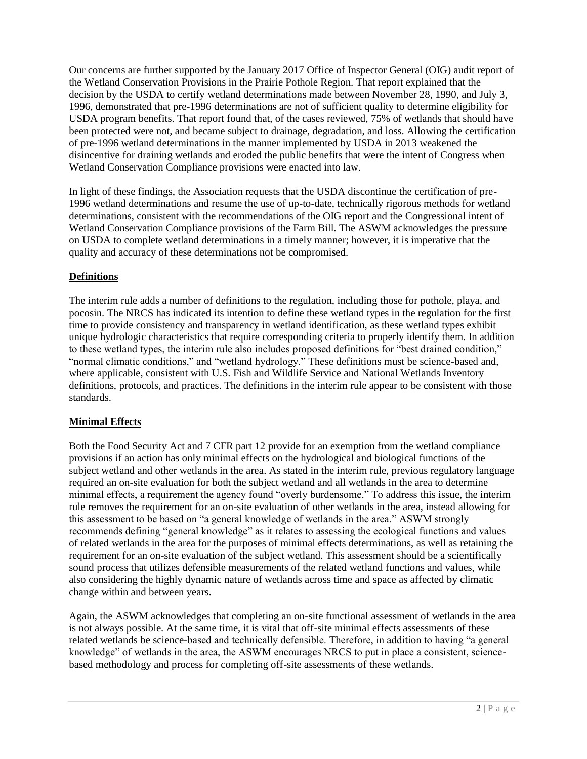Our concerns are further supported by the January 2017 Office of Inspector General (OIG) audit report of the Wetland Conservation Provisions in the Prairie Pothole Region. That report explained that the decision by the USDA to certify wetland determinations made between November 28, 1990, and July 3, 1996, demonstrated that pre-1996 determinations are not of sufficient quality to determine eligibility for USDA program benefits. That report found that, of the cases reviewed, 75% of wetlands that should have been protected were not, and became subject to drainage, degradation, and loss. Allowing the certification of pre-1996 wetland determinations in the manner implemented by USDA in 2013 weakened the disincentive for draining wetlands and eroded the public benefits that were the intent of Congress when Wetland Conservation Compliance provisions were enacted into law.

In light of these findings, the Association requests that the USDA discontinue the certification of pre-1996 wetland determinations and resume the use of up-to-date, technically rigorous methods for wetland determinations, consistent with the recommendations of the OIG report and the Congressional intent of Wetland Conservation Compliance provisions of the Farm Bill. The ASWM acknowledges the pressure on USDA to complete wetland determinations in a timely manner; however, it is imperative that the quality and accuracy of these determinations not be compromised.

# **Definitions**

The interim rule adds a number of definitions to the regulation, including those for pothole, playa, and pocosin. The NRCS has indicated its intention to define these wetland types in the regulation for the first time to provide consistency and transparency in wetland identification, as these wetland types exhibit unique hydrologic characteristics that require corresponding criteria to properly identify them. In addition to these wetland types, the interim rule also includes proposed definitions for "best drained condition," "normal climatic conditions," and "wetland hydrology." These definitions must be science-based and, where applicable, consistent with U.S. Fish and Wildlife Service and National Wetlands Inventory definitions, protocols, and practices. The definitions in the interim rule appear to be consistent with those standards.

## **Minimal Effects**

Both the Food Security Act and 7 CFR part 12 provide for an exemption from the wetland compliance provisions if an action has only minimal effects on the hydrological and biological functions of the subject wetland and other wetlands in the area. As stated in the interim rule, previous regulatory language required an on-site evaluation for both the subject wetland and all wetlands in the area to determine minimal effects, a requirement the agency found "overly burdensome." To address this issue, the interim rule removes the requirement for an on-site evaluation of other wetlands in the area, instead allowing for this assessment to be based on "a general knowledge of wetlands in the area." ASWM strongly recommends defining "general knowledge" as it relates to assessing the ecological functions and values of related wetlands in the area for the purposes of minimal effects determinations, as well as retaining the requirement for an on-site evaluation of the subject wetland. This assessment should be a scientifically sound process that utilizes defensible measurements of the related wetland functions and values, while also considering the highly dynamic nature of wetlands across time and space as affected by climatic change within and between years.

Again, the ASWM acknowledges that completing an on-site functional assessment of wetlands in the area is not always possible. At the same time, it is vital that off-site minimal effects assessments of these related wetlands be science-based and technically defensible. Therefore, in addition to having "a general knowledge" of wetlands in the area, the ASWM encourages NRCS to put in place a consistent, sciencebased methodology and process for completing off-site assessments of these wetlands.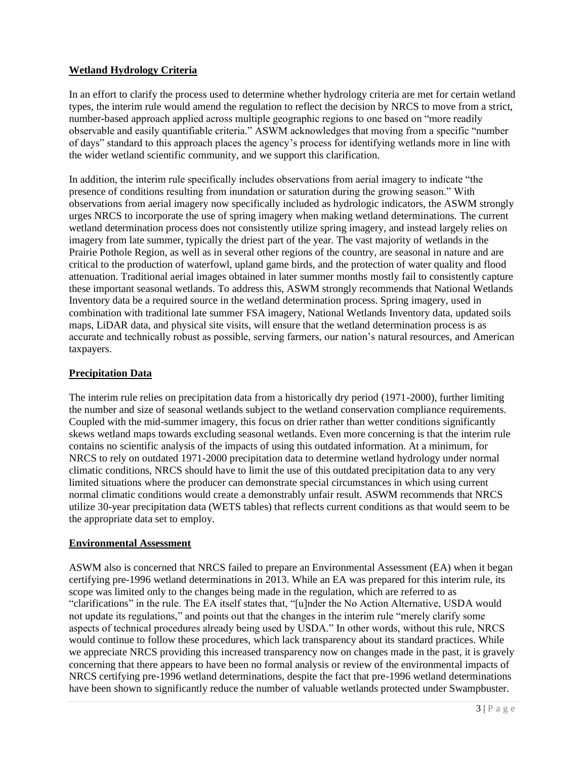## **Wetland Hydrology Criteria**

In an effort to clarify the process used to determine whether hydrology criteria are met for certain wetland types, the interim rule would amend the regulation to reflect the decision by NRCS to move from a strict, number-based approach applied across multiple geographic regions to one based on "more readily observable and easily quantifiable criteria." ASWM acknowledges that moving from a specific "number of days" standard to this approach places the agency's process for identifying wetlands more in line with the wider wetland scientific community, and we support this clarification.

In addition, the interim rule specifically includes observations from aerial imagery to indicate "the presence of conditions resulting from inundation or saturation during the growing season." With observations from aerial imagery now specifically included as hydrologic indicators, the ASWM strongly urges NRCS to incorporate the use of spring imagery when making wetland determinations. The current wetland determination process does not consistently utilize spring imagery, and instead largely relies on imagery from late summer, typically the driest part of the year. The vast majority of wetlands in the Prairie Pothole Region, as well as in several other regions of the country, are seasonal in nature and are critical to the production of waterfowl, upland game birds, and the protection of water quality and flood attenuation. Traditional aerial images obtained in later summer months mostly fail to consistently capture these important seasonal wetlands. To address this, ASWM strongly recommends that National Wetlands Inventory data be a required source in the wetland determination process. Spring imagery, used in combination with traditional late summer FSA imagery, National Wetlands Inventory data, updated soils maps, LiDAR data, and physical site visits, will ensure that the wetland determination process is as accurate and technically robust as possible, serving farmers, our nation's natural resources, and American taxpayers.

## **Precipitation Data**

The interim rule relies on precipitation data from a historically dry period (1971-2000), further limiting the number and size of seasonal wetlands subject to the wetland conservation compliance requirements. Coupled with the mid-summer imagery, this focus on drier rather than wetter conditions significantly skews wetland maps towards excluding seasonal wetlands. Even more concerning is that the interim rule contains no scientific analysis of the impacts of using this outdated information. At a minimum, for NRCS to rely on outdated 1971-2000 precipitation data to determine wetland hydrology under normal climatic conditions, NRCS should have to limit the use of this outdated precipitation data to any very limited situations where the producer can demonstrate special circumstances in which using current normal climatic conditions would create a demonstrably unfair result. ASWM recommends that NRCS utilize 30-year precipitation data (WETS tables) that reflects current conditions as that would seem to be the appropriate data set to employ.

## **Environmental Assessment**

ASWM also is concerned that NRCS failed to prepare an Environmental Assessment (EA) when it began certifying pre-1996 wetland determinations in 2013. While an EA was prepared for this interim rule, its scope was limited only to the changes being made in the regulation, which are referred to as "clarifications" in the rule. The EA itself states that, "[u]nder the No Action Alternative, USDA would not update its regulations," and points out that the changes in the interim rule "merely clarify some aspects of technical procedures already being used by USDA." In other words, without this rule, NRCS would continue to follow these procedures, which lack transparency about its standard practices. While we appreciate NRCS providing this increased transparency now on changes made in the past, it is gravely concerning that there appears to have been no formal analysis or review of the environmental impacts of NRCS certifying pre-1996 wetland determinations, despite the fact that pre-1996 wetland determinations have been shown to significantly reduce the number of valuable wetlands protected under Swampbuster.